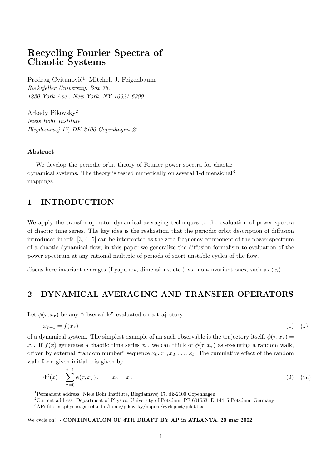# Recycling Fourier Spectra of Chaotic Systems

Predrag Cvitanović<sup>1</sup>, Mitchell J. Feigenbaum Rockefeller University, Box 75, 1230 York Ave., New York, NY 10021-6399

Arkady Pikovsky<sup>2</sup> Niels Bohr Institute Blegdamsvej 17, DK-2100 Copenhagen Ø

#### Abstract

We develop the periodic orbit theory of Fourier power spectra for chaotic dynamical systems. The theory is tested numerically on several 1-dimensional<sup>3</sup> mappings.

## 1 INTRODUCTION

We apply the transfer operator dynamical averaging techniques to the evaluation of power spectra of chaotic time series. The key idea is the realization that the periodic orbit description of diffusion introduced in refs. [3, 4, 5] can be interpreted as the zero frequency component of the power spectrum of a chaotic dynamical flow; in this paper we generalize the diffusion formalism to evaluation of the power spectrum at any rational multiple of periods of short unstable cycles of the flow.

discus here invariant averages (Lyapunov, dimensions, etc.) vs. non-invariant ones, such as  $\langle x_i \rangle$ .

## 2 DYNAMICAL AVERAGING AND TRANSFER OPERATORS

Let  $\phi(\tau, x_{\tau})$  be any "observable" evaluated on a trajectory

$$
x_{\tau+1} = f(x_{\tau}) \tag{1} \quad \text{(1)}
$$

of a dynamical system. The simplest example of an such observable is the trajectory itself,  $\phi(\tau, x_{\tau}) =$  $x_{\tau}$ . If  $f(x)$  generates a chaotic time series  $x_{\tau}$ , we can think of  $\phi(\tau, x_{\tau})$  as executing a random walk, driven by external "random number" sequence  $x_0, x_1, x_2, \ldots, x_t$ . The cumulative effect of the random walk for a given initial  $x$  is given by

$$
\Phi^{t}(x) = \sum_{\tau=0}^{t-1} \phi(\tau, x_{\tau}), \qquad x_{0} = x. \tag{2} \tag{1c}
$$

<sup>1</sup>Permanent address: Niels Bohr Institute, Blegdamsvej 17, dk-2100 Copenhagen

<sup>2</sup>Current address: Department of Physics, University of Potsdam, PF 601553, D-14415 Potsdam, Germany

<sup>3</sup>AP: file cns.physics.gatech.edu:/home/pikovsky/papers/cyclspect/pik9.tex

#### We cycle on! - CONTINUATION OF 4TH DRAFT BY AP in ATLANTA, 20 mar 2002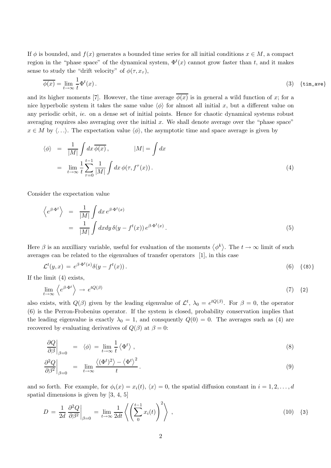If  $\phi$  is bounded, and  $f(x)$  generates a bounded time series for all initial conditions  $x \in M$ , a compact region in the "phase space" of the dynamical system,  $\Phi^t(x)$  cannot grow faster than t, and it makes sense to study the "drift velocity" of  $\phi(\tau, x_{\tau}),$ 

$$
\overline{\phi(x)} = \lim_{t \to \infty} \frac{1}{t} \Phi^t(x). \tag{3} \quad \text{{fim\_ave}}
$$

and its higher moments [7]. However, the time average  $\overline{\phi(x)}$  is in general a wild function of x; for a nice hyperbolic system it takes the same value  $\langle \phi \rangle$  for almost all initial x, but a different value on any periodic orbit, ie. on a dense set of initial points. Hence for chaotic dynamical systems robust averaging requires also averaging over the initial  $x$ . We shall denote average over the "phase space"  $x \in M$  by  $\langle \ldots \rangle$ . The expectation value  $\langle \phi \rangle$ , the asymptotic time and space average is given by

$$
\langle \phi \rangle = \frac{1}{|M|} \int dx \overline{\phi(x)}, \qquad |M| = \int dx
$$
  

$$
= \lim_{t \to \infty} \frac{1}{t} \sum_{\tau=0}^{t-1} \frac{1}{|M|} \int dx \, \phi(\tau, f^{\tau}(x)). \tag{4}
$$

Consider the expectation value

$$
\begin{aligned}\n\left\langle e^{\beta \cdot \Phi^t} \right\rangle &= \frac{1}{|M|} \int dx \, e^{\beta \cdot \Phi^t(x)} \\
&= \frac{1}{|M|} \int dx dy \, \delta(y - f^t(x)) \, e^{\beta \cdot \Phi^t(x)}.\n\end{aligned} \tag{5}
$$

Here  $\beta$  is an auxilliary variable, useful for evaluation of the moments  $\langle \phi^k \rangle$ . The  $t \to \infty$  limit of such averages can be related to the eigenvalues of transfer operators [1], in this case

$$
\mathcal{L}^t(y,x) = e^{\beta \cdot \Phi^t(x)} \delta(y - f^t(x)). \tag{6} \tag{8}
$$

If the limit (4) exists,

$$
\lim_{t \to \infty} \left\langle e^{\beta \cdot \Phi^t} \right\rangle \to e^{tQ(\beta)} \tag{7} \tag{7} \tag{8}
$$

also exists, with  $Q(\beta)$  given by the leading eigenvalue of  $\mathcal{L}^t$ ,  $\lambda_0 = e^{tQ(\beta)}$ . For  $\beta = 0$ , the operator (6) is the Perron-Frobenius operator. If the system is closed, probability conservation implies that the leading eigenvalue is exactly  $\lambda_0 = 1$ , and consquently  $Q(0) = 0$ . The averages such as (4) are recovered by evaluating derivatives of  $Q(\beta)$  at  $\beta = 0$ :

$$
\left. \frac{\partial Q}{\partial \beta} \right|_{\beta=0} = \left. \langle \phi \right\rangle = \lim_{t \to \infty} \frac{1}{t} \left\langle \Phi^t \right\rangle , \tag{8}
$$

$$
\left. \frac{\partial^2 Q}{\partial \beta^2} \right|_{\beta=0} = \lim_{t \to \infty} \frac{\langle (\Phi^t)^2 \rangle - \langle \Phi^t \rangle^2}{t} . \tag{9}
$$

and so forth. For example, for  $\phi_i(x) = x_i(t)$ ,  $\langle x \rangle = 0$ , the spatial diffusion constant in  $i = 1, 2, ..., d$ spatial dimensions is given by [3, 4, 5]

$$
D = \frac{1}{2d} \left. \frac{\partial^2 Q}{\partial \beta^2} \right|_{\beta=0} = \lim_{t \to \infty} \frac{1}{2dt} \left\langle \left( \sum_{i=0}^{t-1} x_i(t) \right)^2 \right\rangle , \qquad (10) \quad \text{{8}}
$$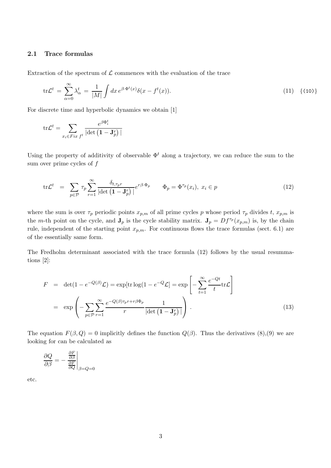### 2.1 Trace formulas

Extraction of the spectrum of  $\mathcal L$  commences with the evaluation of the trace

$$
\operatorname{tr} \mathcal{L}^t = \sum_{\alpha=0}^{\infty} \lambda_{\alpha}^t = \frac{1}{|M|} \int dx \, e^{\beta \cdot \Phi^t(x)} \delta(x - f^t(x)). \tag{11} \tag{10}
$$

For discrete time and hyperbolic dynamics we obtain [1]

$$
\mathrm{tr}\mathcal{L}^t = \sum_{x_i \in Fix \ f^t} \frac{e^{\beta \Phi_i^t}}{|\mathrm{det}\left(\mathbf{1} - \mathbf{J}_p^r\right)|}
$$

Using the property of additivity of observable  $\Phi^t$  along a trajectory, we can reduce the sum to the sum over prime cycles of  $f$ 

$$
\text{tr}\mathcal{L}^t = \sum_{p \in \mathcal{P}} \tau_p \sum_{r=1}^{\infty} \frac{\delta_{t, \tau_p r}}{|\det(\mathbf{1} - \mathbf{J}_p^r)|} e^{r\beta \cdot \Phi_p} \qquad \Phi_p = \Phi^{\tau_p}(x_i), \ x_i \in p \tag{12}
$$

where the sum is over  $\tau_p$  periodic points  $x_{p,m}$  of all prime cycles p whose period  $\tau_p$  divides t,  $x_{p,m}$  is the m-th point on the cycle, and  $J_p$  is the cycle stability matrix.  $J_p = Df^{\tau_p}(x_{p,m})$  is, by the chain rule, independent of the starting point  $x_{p,m}$ . For continuous flows the trace formulas (sect. 6.1) are of the essentially same form.

The Fredholm determinant associated with the trace formula (12) follows by the usual resummations [2]:

$$
F = \det(1 - e^{-Q(\beta)} \mathcal{L}) = \exp[\text{tr}\log(1 - e^{-Q} \mathcal{L}] = \exp\left[-\sum_{t=1}^{\infty} \frac{e^{-Qt}}{t} \text{tr}\mathcal{L}\right]
$$

$$
= \exp\left(-\sum_{p \in \mathcal{P}} \sum_{r=1}^{\infty} \frac{e^{-Q(\beta)\tau_p r + r\beta \Phi_p}}{r} \frac{1}{|\det(\mathbf{1} - \mathbf{J}_p^r)|}\right).
$$
(13)

The equation  $F(\beta, Q) = 0$  implicitly defines the function  $Q(\beta)$ . Thus the derivatives (8),(9) we are looking for can be calculated as

$$
\frac{\partial Q}{\partial \beta} = -\left. \frac{\frac{\partial F}{\partial \beta}}{\frac{\partial F}{\partial Q}} \right|_{\beta = Q = 0}
$$

etc.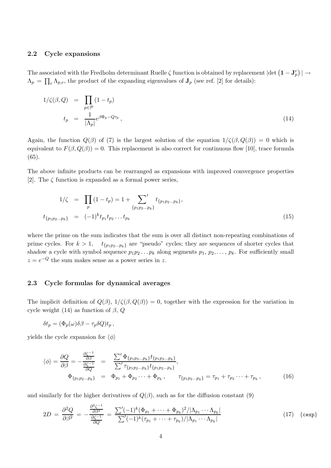#### 2.2 Cycle expansions

The associated with the Fredholm determinant Ruelle  $\zeta$  function is obtained by replacement  $|\text{det}\left(\mathbf{1}-\mathbf{J}_p^r\right)| \to$  $\Lambda_p = \prod_e \Lambda_{p,e}$ , the product of the expanding eigenvalues of  $\mathbf{J}_p$  (see ref. [2] for details):

$$
1/\zeta(\beta, Q) = \prod_{p \in \mathcal{P}} (1 - t_p)
$$
  

$$
t_p = \frac{1}{|\Lambda_p|} e^{\beta \Phi_p - Q\tau_p}, \qquad (14)
$$

Again, the function  $Q(\beta)$  of (7) is the largest solution of the equation  $1/\zeta(\beta, Q(\beta)) = 0$  which is equivalent to  $F(\beta, Q(\beta)) = 0$ . This replacement is also correct for continuous flow [10], trace formula (65).

The above infinite products can be rearranged as expansions with improved convergence properties [2]. The  $\zeta$  function is expanded as a formal power series,

$$
1/\zeta = \prod_{p} (1 - t_p) = 1 + \sum_{\{p_1 p_2 \dots p_k\}}' t_{\{p_1 p_2 \dots p_k\}},
$$
  

$$
t_{\{p_1 p_2 \dots p_k\}} = (-1)^k t_{p_1} t_{p_2} \dots t_{p_k}
$$
 (15)

where the prime on the sum indicates that the sum is over all distinct non-repeating combinations of prime cycles. For  $k > 1$ ,  $t_{\{p_1p_2...p_k\}}$  are "pseudo" cycles; they are sequences of shorter cycles that shadow a cycle with symbol sequence  $p_1p_2 \ldots p_k$  along segments  $p_1, p_2, \ldots, p_k$ . For sufficiently small  $z = e^{-Q}$  the sum makes sense as a power series in z.

### 2.3 Cycle formulas for dynamical averages

The implicit definition of  $Q(\beta)$ ,  $1/\zeta(\beta, Q(\beta)) = 0$ , together with the expression for the variation in cycle weight (14) as function of  $\beta$ ,  $Q$ 

$$
\delta t_p = (\Phi_p(\omega)\delta\beta - \tau_p \delta Q)t_p,
$$

yields the cycle expansion for  $\langle \phi \rangle$ 

$$
\langle \phi \rangle = \frac{\partial Q}{\partial \beta} = -\frac{\frac{\partial \zeta^{-1}}{\partial \beta}}{\frac{\partial \zeta^{-1}}{\partial Q}} = \frac{\sum' \Phi_{\{p_1 p_2 \dots p_k\}} t_{\{p_1 p_2 \dots p_k\}}}{\sum' \tau_{\{p_1 p_2 \dots p_k\}} t_{\{p_1 p_2 \dots p_k\}}},
$$
  
\n
$$
\Phi_{\{p_1 p_2 \dots p_k\}} = \Phi_{p_1} + \Phi_{p_2} \dots + \Phi_{p_k}, \qquad \tau_{\{p_1 p_2 \dots p_k\}} = \tau_{p_1} + \tau_{p_2} \dots + \tau_{p_k},
$$
\n(16)

and similarly for the higher derivatives of  $Q(\beta)$ , such as for the diffusion constant (9)

$$
2D = \frac{\partial^2 Q}{\partial \beta^2} = -\frac{\frac{\partial^2 \zeta^{-1}}{\partial \beta^2}}{\frac{\partial \zeta^{-1}}{\partial Q}} = \frac{\sum' (-1)^k (\Phi_{p_1} + \dots + \Phi_{p_k})^2 / |\Lambda_{p_1} \dots \Lambda_{p_k}|}{\sum' (-1)^k (\tau_{p_1} + \dots + \tau_{p_k}) / |\Lambda_{p_1} \dots \Lambda_{p_k}|}
$$
(17) { $\text{cexp}$ }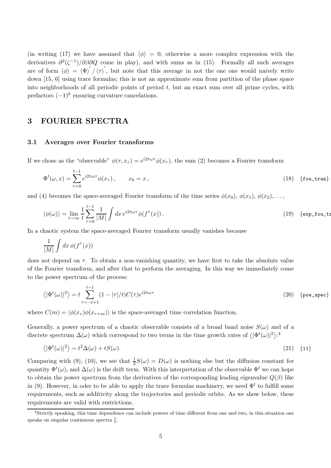(in writing (17) we have assumed that  $\langle \phi \rangle = 0$ , otherwise a more complex expression with the derivatives  $\partial^2(\zeta^{-1})/\partial\beta\partial Q$  come in play), and with sums as in (15). Formally all such averages are of form  $\langle \phi \rangle = \langle \Phi \rangle' / \langle \tau \rangle'$ , but note that this average in not the one one would naively write down [15, 6] using trace formulas; this is not an approximate sum from partition of the phase space into neighborhoods of all periodic points of period  $t$ , but an exact sum over all prime cycles, with prefactors  $(-1)^k$  ensuring curvature cancelations.

## 3 FOURIER SPECTRA

#### 3.1 Averages over Fourier transforms

If we chose as the "observable"  $\phi(\tau, x_{\tau}) = e^{i2\pi\omega\tau} \phi(x_{\tau})$ , the sum (2) becomes a Fourier transform

$$
\Phi^t(\omega, x) = \sum_{\tau=0}^{t-1} e^{i2\pi\omega\tau} \phi(x_\tau), \qquad x_0 = x, \tag{18} \text{ [four-tran]}
$$

and (4) becomes the space-averaged Fourier transform of the time series  $\phi(x_0), \phi(x_1), \phi(x_2), \ldots$ 

$$
\langle \phi(\omega) \rangle = \lim_{t \to \infty} \frac{1}{t} \sum_{\tau=0}^{t-1} \frac{1}{|M|} \int dx \, e^{i2\pi\omega\tau} \phi(f^{\tau}(x)) \,. \tag{19} \tag{19} \tag{20} \label{20}
$$

In a chaotic system the space-averaged Fourier transform usually vanishes because

$$
\frac{1}{|M|}\int dx\,\phi(f^\tau(x))
$$

does not depend on  $\tau$ . To obtain a non-vanishing quantity, we have first to take the absolute value of the Fourier transform, and after that to perform the averaging. In this way we immediately come to the power spectrum of the process:

$$
\langle |\Phi^t(\omega)|^2 \rangle = t \sum_{\tau=-t+1}^{t-1} (1 - |\tau|/t) C(\tau) e^{i2\pi\omega\tau}
$$
 (20) {pow\_spec}

where  $C(m) = \langle \phi(x_\tau) \phi(x_{\tau+m}) \rangle$  is the space-averaged time correlation function.

Generally, a power spectrum of a chaotic observable consists of a broad band noise  $S(\omega)$  and of a discrete spectrum  $\Delta(\omega)$  which correspond to two terms in the time growth rates of  $\langle |\Phi^t(\omega)|^2 \rangle$ :<sup>4</sup>

$$
\langle |\Phi^t(\omega)|^2 \rangle \sim t^2 \Delta(\omega) + tS(\omega). \tag{21} \tag{11}
$$

Comparing with (9), (10), we see that  $\frac{1}{2}S(\omega) = D(\omega)$  is nothing else but the diffusion constant for quantity  $\Phi^t(\omega)$ , and  $\Delta(\omega)$  is the drift term. With this interpretation of the observable  $\Phi^t$  we can hope to obtain the power spectrum from the derivatives of the corresponding leading eigenvalue  $Q(\beta)$  like in (9). However, in oder to be able to apply the trace formulas machinery, we need  $\Phi^t$  to fulfill some requirements, such as additivity along the trajectories and periodic orbits. As we show below, these requirements are valid with restrictions.

<sup>&</sup>lt;sup>4</sup>Strictly speaking, this time dependence can include powers of time different from one and two, in this situation one speaks on singular continuous spectra [].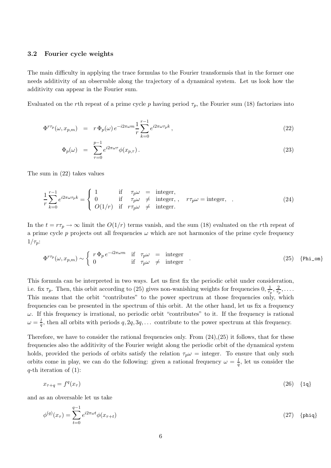#### 3.2 Fourier cycle weights

The main difficulty in applying the trace formulas to the Fourier transformsis that in the former one needs additivity of an observable along the trajectory of a dynamical system. Let us look how the additivity can appear in the Fourier sum.

Evaluated on the rth repeat of a prime cycle p having period  $\tau_p$ , the Fourier sum (18) factorizes into

$$
\Phi^{r\tau_p}(\omega, x_{p,m}) = r \Phi_p(\omega) e^{-i2\pi\omega m} \frac{1}{r} \sum_{k=0}^{r-1} e^{i2\pi\omega \tau_p k}, \qquad (22)
$$

$$
\Phi_p(\omega) = \sum_{\tau=0}^{p-1} e^{i2\pi\omega\tau} \phi(x_{p,\tau}). \tag{23}
$$

The sum in (22) takes values

$$
\frac{1}{r} \sum_{k=0}^{r-1} e^{i2\pi\omega\tau_p k} = \begin{cases} 1 & \text{if } \tau_p \omega = \text{integer,} \\ 0 & \text{if } \tau_p \omega \neq \text{integer,} \\ O(1/r) & \text{if } \tau_{p} \omega \neq \text{integer.} \end{cases} \quad r\tau_p \omega = \text{integer.} \quad . \tag{24}
$$

In the  $t = r\tau_p \rightarrow \infty$  limit the  $O(1/r)$  terms vanish, and the sum (18) evaluated on the rth repeat of a prime cycle p projects out all frequencies  $\omega$  which are not harmonics of the prime cycle frequency  $1/\tau_p$ :

$$
\Phi^{r\tau_p}(\omega, x_{p,m}) \sim \begin{cases} r \Phi_p e^{-i2\pi\omega m} & \text{if } \tau_p \omega = \text{integer} \\ 0 & \text{if } \tau_p \omega \neq \text{integer} \end{cases} . \tag{25} \tag{25} \text{[Phi\_om]}
$$

This formula can be interpreted in two ways. Let us first fix the periodic orbit under consideration, i.e. fix  $\tau_p$ . Then, this orbit according to (25) gives non-wanishing weights for frequencies  $0, \frac{1}{\tau_s}$  $\frac{1}{\tau_p}, \frac{2}{\tau_p}$  $\frac{2}{\tau_p}, \ldots$  . This means that the orbit "contributes" to the power spectrum at those frequencies only, which frequencies can be presented in the spectrum of this orbit. At the other hand, let us fix a frequency  $\omega$ . If this frequency is irrational, no periodic orbit "contributes" to it. If the frequency is rational  $\omega = \frac{l}{a}$  $\frac{1}{q}$ , then all orbits with periods  $q, 2q, 3q, \ldots$  contribute to the power spectrum at this frequency.

Therefore, we have to consider the rational frequencies only. From  $(24),(25)$  it follows, that for these frequencies also the additivity of the Fourier weight along the periodic orbit of the dynamical system holds, provided the periods of orbits satisfy the relation  $\tau_p \omega = \text{integer}$ . To ensure that only such orbits come in play, we can do the following: given a rational frequency  $\omega = \frac{l}{a}$  $\frac{l}{q}$ , let us consider the  $q$ -th iteration of  $(1)$ :

$$
x_{\tau+q} = f^q(x_{\tau}) \tag{26} \tag{14}
$$

and as an obversable let us take

$$
\phi^{(q)}(x_{\tau}) = \sum_{t=0}^{q-1} e^{i2\pi\omega t} \phi(x_{\tau+t})
$$
\n(27) {phi}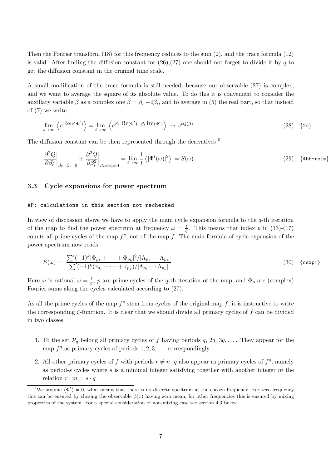Then the Fourier transform (18) for this frequency reduces to the sum (2), and the trace formula (12) is valid. After finding the diffusion constant for  $(26),(27)$  one should not forget to divide it by q to get the diffusion constant in the original time scale.

A small modification of the trace formula is still needed, because our observable (27) is complex, and we want to average the square of its absolute value. To do this it is convenient to consider the auxillary variable  $\beta$  as a complex one  $\beta = \beta_r + i\beta_i$ , and to average in (5) the real part, so that instead of (7) we write

$$
\lim_{t \to \infty} \left\langle e^{\text{Re}(\beta \cdot \Phi^t)} \right\rangle = \lim_{t \to \infty} \left\langle e^{\beta_r \cdot \text{Re}(\Phi^t) - \beta_i \cdot \text{Im}(\Phi^t)} \right\rangle \to e^{tQ(\beta)} \tag{28}
$$

The diffusion constant can be then represented through the derivatives  $^5$ 

$$
\frac{\partial^2 Q}{\partial \beta_r^2}\bigg|_{\beta_r=\beta_i=0} + \frac{\partial^2 Q}{\partial \beta_i^2}\bigg|_{\beta_r=\beta_i=0} = \lim_{t \to \infty} \frac{1}{t} \left\langle |\Phi^t(\omega)|^2 \right\rangle = S(\omega). \tag{29} \tag{29} \tag{29} \tag{29} \label{29}.
$$

## 3.3 Cycle expansions for power spectrum

#### AP: calculations in this section not rechecked

In view of discussion above we have to apply the main cycle expansion formula to the  $q$ -th iteration of the map to find the power spectrum at frequency  $\omega = \frac{l}{q}$ . This means that index p in (13)-(17) counts all prime cycles of the map  $f^q$ , not of the map f. The main formula of cycle expansion of the power spectrum now reads

$$
S(\omega) = \frac{\sum' (-1)^k |\Phi_{p_1} + \dots + \Phi_{p_k}|^2 / |\Lambda_{p_1} \dots \Lambda_{p_k}|}{\sum' (-1)^k (\tau_{p_1} + \dots + \tau_{p_k}) / |\Lambda_{p_1} \dots \Lambda_{p_k}|}
$$
(30) { $\{ \exp 1 \} \}$ 

Here  $\omega$  is rational  $\omega = \frac{l}{a}$  $\frac{a}{q}$ ; p are prime cycles of the q-th iteration of the map, and  $\Phi_p$  are (complex) Fourier sums along the cycles calculated according to (27).

As all the prime cycles of the map  $f<sup>q</sup>$  stem from cycles of the original map f, it is instructive to write the corresponding  $\zeta$ -function. It is clear that we should divide all primary cycles of f can be divided in two classes:

- 1. To the set  $\mathcal{P}_q$  belong all primary cycles of f having periods  $q, 2q, 3q, \ldots$ . They appear for the map  $f<sup>q</sup>$  as primary cycles of periods  $1, 2, 3, \ldots$  correspondingly.
- 2. All other primary cycles of f with periods  $r \neq n \cdot q$  also appear as primary cycles of  $f^q$ , namely as period-s cycles where s is a minimal integer satisfying together with another integer  $m$  the relation  $r \cdot m = s \cdot q$

<sup>&</sup>lt;sup>5</sup>We assume  $\langle \Phi^t \rangle = 0$ , what means that there is no discrete spectrum at the chosen frequency. For zero frequency this can be ensured by chosing the observable  $\phi(x)$  having zero mean, for other frequencies this is ensured by mixing properties of the system. For a special consideration of non-mixing case see section 4.3 below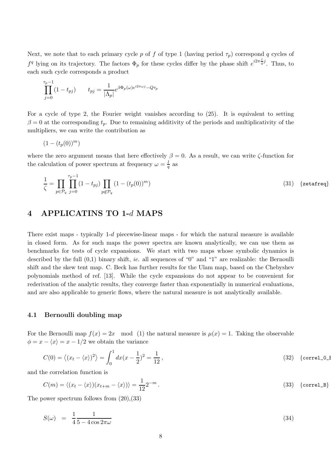Next, we note that to each primary cycle p of f of type 1 (having period  $\tau_p$ ) correspond q cycles of  $f^q$  lying on its trajectory. The factors  $\Phi_p$  for these cycles differ by the phase shift  $e^{i2\pi \frac{1}{q}j}$ . Thus, to each such cycle corresponds a product

$$
\prod_{j=0}^{\tau_p-1} (1-t_{pj}) \qquad t_{pj} = \frac{1}{|\Lambda_p|} e^{\beta \Phi_p(\omega) e^{i2\pi \omega j} - Q\tau_p}
$$

For a cycle of type 2, the Fourier weight vanishes according to (25). It is equivalent to setting  $\beta = 0$  at the corresponding  $t_p$ . Due to remaining additivity of the periods and multiplicativity of the multipliers, we can write the contribution as

$$
(1-(t_p(0))^m)
$$

where the zero argument means that here effectively  $\beta = 0$ . As a result, we can write  $\zeta$ -function for the calculation of power spectrum at frequency  $\omega = \frac{l}{a}$  $\frac{l}{q}$  as

$$
\frac{1}{\zeta} = \prod_{p \in \mathcal{P}_q} \prod_{j=0}^{\tau_p - 1} (1 - t_{pj}) \prod_{p \notin \mathcal{P}_q} (1 - (t_p(0))^m)
$$
\n(31) {zeta = 1} (31)

## 4 APPLICATINS TO 1-d MAPS

There exist maps - typically 1-d piecewise-linear maps - for which the natural measure is available in closed form. As for such maps the power spectra are known analytically, we can use them as benchmarks for tests of cycle expansions. We start with two maps whose symbolic dynamics is described by the full (0,1) binary shift, ie. all sequences of "0" and "1" are realizable: the Bernoulli shift and the skew tent map. C. Beck has further results for the Ulam map, based on the Chebyshev polynomials method of ref. [13]. While the cycle expansions do not appear to be convenient for rederivation of the analytic results, they converge faster than exponentially in numerical evaluations, and are also applicable to generic flows, where the natural measure is not analytically available.

#### 4.1 Bernoulli doubling map

For the Bernoulli map  $f(x) = 2x \mod (1)$  the natural measure is  $\mu(x) = 1$ . Taking the observable  $\phi = x - \langle x \rangle = x - 1/2$  we obtain the variance

$$
C(0) = \left\langle (x_t - \langle x \rangle)^2 \right\rangle = \int_0^1 dx (x - \frac{1}{2})^2 = \frac{1}{12},
$$
\n(32) {correl\_0E

and the correlation function is

$$
C(m) = \langle (x_t - \langle x \rangle)(x_{t+m} - \langle x \rangle) \rangle = \frac{1}{12} 2^{-m}.
$$
\n(33) {correl}\_B

The power spectrum follows from (20),(33)

$$
S(\omega) = \frac{1}{4} \frac{1}{5 - 4\cos 2\pi\omega} \tag{34}
$$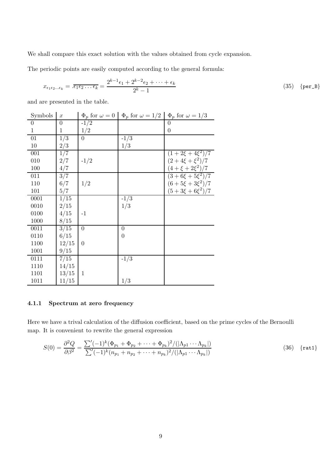We shall compare this exact solution with the values obtained from cycle expansion.

The periodic points are easily computed according to the general formula:

$$
x_{\epsilon_1 \epsilon_2 \dots \epsilon_k} = \overline{. \epsilon_1 \epsilon_2 \dots \epsilon_k} = \frac{2^{k-1} \epsilon_1 + 2^{k-2} \epsilon_2 + \dots + \epsilon_k}{2^k - 1}
$$
\n(35) {per\_B}  
(35) {per\_B}

and are presented in the table.

| Symbols        | $\boldsymbol{x}$ | $\Phi_p$ for $\omega = 0$ | $\Phi_p$ for $\omega = 1/2$ | $\Phi_p$ for $\omega = 1/3$ |
|----------------|------------------|---------------------------|-----------------------------|-----------------------------|
| $\overline{0}$ | $\overline{0}$   | $-1/2$                    |                             | $\theta$                    |
| $\mathbf{1}$   | 1                | 1/2                       |                             | $\boldsymbol{0}$            |
| 01             | 1/3              | $\overline{0}$            | $-1/3$                      |                             |
| 10             | 2/3              |                           | 1/3                         |                             |
| 001            | 1/7              |                           |                             | $(1+2\xi+4\xi^2)/7$         |
| 010            | 2/7              | $-1/2$                    |                             | $(2+4\xi+\xi^2)/7$          |
| 100            | 4/7              |                           |                             | $(4 + \xi + 2\xi^2)/7$      |
| 011            | 3/7              |                           |                             | $(3+6\xi+5\xi^2)/7$         |
| 110            | 6/7              | 1/2                       |                             | $(6+5\xi+3\xi^2)/7$         |
| 101            | 5/7              |                           |                             | $(5+3\xi+6\xi^2)/7$         |
| 0001           | 1/15             |                           | $-1/3$                      |                             |
| 0010           | 2/15             |                           | 1/3                         |                             |
| 0100           | 4/15             | $-1$                      |                             |                             |
| 1000           | 8/15             |                           |                             |                             |
| 0011           | 3/15             | $\overline{0}$            | 0                           |                             |
| 0110           | 6/15             |                           | $\overline{0}$              |                             |
| 1100           | 12/15            | $\overline{0}$            |                             |                             |
| 1001           | 9/15             |                           |                             |                             |
| 0111           | 7/15             |                           | $-1/3$                      |                             |
| 1110           | 14/15            |                           |                             |                             |
| 1101           | 13/15            | $\mathbf 1$               |                             |                             |
| 1011           | 11/15            |                           | 1/3                         |                             |

### 4.1.1 Spectrum at zero frequency

Here we have a trival calculation of the diffusion coefficient, based on the prime cycles of the Bernoulli map. It is convenient to rewrite the general expression

$$
S(0) = \frac{\partial^2 Q}{\partial \beta^2} = \frac{\sum' (-1)^k (\Phi_{p_1} + \Phi_{p_2} + \dots + \Phi_{p_k})^2 / (|\Lambda_{p_1} \cdots \Lambda_{p_k}|)}{\sum' (-1)^k (n_{p_1} + n_{p_2} + \dots + n_{p_k})^2 / (|\Lambda_{p_1} \cdots \Lambda_{p_k}|)}
$$
(36) {rat1}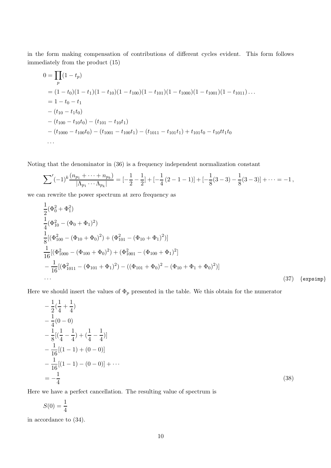in the form making compensation of contributions of different cycles evident. This form follows immediately from the product (15)

$$
0 = \prod_{p} (1 - t_p)
$$
  
=  $(1 - t_0)(1 - t_1)(1 - t_{10})(1 - t_{100})(1 - t_{101})(1 - t_{1001})(1 - t_{1011})...$   
=  $1 - t_0 - t_1$   
-  $(t_{10} - t_1t_0)$   
-  $(t_{100} - t_{10}t_0) - (t_{101} - t_{10}t_1)$   
-  $(t_{1000} - t_{100}t_0) - (t_{1001} - t_{100}t_1) - (t_{1011} - t_{101}t_1) + t_{101}t_0 - t_{10}t_1t_0$   
...

Noting that the denominator in (36) is a frequency independent normalization constant

$$
\sum'(-1)^k\frac{(n_{p_1}+\cdots+n_{p_k})}{|\Lambda_{p_1}\cdots\Lambda_{p_k}|}=[-\frac{1}{2}-\frac{1}{2}]+[-\frac{1}{4}(2-1-1)]+[-\frac{1}{8}(3-3)-\frac{1}{8}(3-3)]+\cdots=-1,
$$

we can rewrite the power spectrum at zero frequency as

$$
\frac{1}{2}(\Phi_0^2 + \Phi_1^2)
$$
\n
$$
\frac{1}{4}(\Phi_{10}^2 - (\Phi_0 + \Phi_1)^2)
$$
\n
$$
\frac{1}{8}[(\Phi_{100}^2 - (\Phi_{10} + \Phi_0)^2) + (\Phi_{101}^2 - (\Phi_{10} + \Phi_1)^2)]
$$
\n
$$
\frac{1}{16}[(\Phi_{1000}^2 - (\Phi_{100} + \Phi_0)^2) + (\Phi_{1001}^2 - (\Phi_{100} + \Phi_1)^2]
$$
\n
$$
-\frac{1}{16}[(\Phi_{1011}^2 - (\Phi_{101} + \Phi_1)^2) - ((\Phi_{101} + \Phi_0)^2 - (\Phi_{10} + \Phi_1 + \Phi_0)^2)]
$$
\n
$$
\dots \tag{37} \{ \text{expsimp} \}
$$

Here we should insert the values of  $\Phi_p$  presented in the table. We this obtain for the numerator

$$
-\frac{1}{2}(\frac{1}{4} + \frac{1}{4})
$$
  
\n
$$
-\frac{1}{4}(0 - 0)
$$
  
\n
$$
-\frac{1}{8}[(\frac{1}{4} - \frac{1}{4}) + (\frac{1}{4} - \frac{1}{4})]
$$
  
\n
$$
-\frac{1}{16}[(1 - 1) + (0 - 0)]
$$
  
\n
$$
-\frac{1}{16}[(1 - 1) - (0 - 0)] + \cdots
$$
  
\n
$$
=-\frac{1}{4}
$$
\n(38)

Here we have a perfect cancellation. The resulting value of spectrum is

$$
S(0) = \frac{1}{4}
$$

in accordance to (34).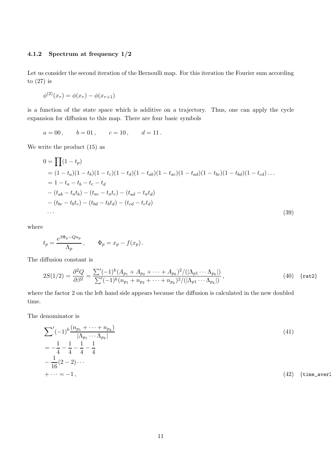## 4.1.2 Spectrum at frequency 1/2

Let us consider the second iteration of the Bernoulli map. For this iteration the Fourier sum according to (27) is

$$
\phi^{(2)}(x_{\tau}) = \phi(x_{\tau}) - \phi(x_{\tau+1})
$$

is a function of the state space which is additive on a trajectory. Thus, one can apply the cycle expansion for diffusion to this map. There are four basic symbols

$$
a = 00
$$
,  $b = 01$ ,  $c = 10$ ,  $d = 11$ .

We write the product (15) as

$$
0 = \prod (1 - t_p)
$$
  
=  $(1 - t_a)(1 - t_b)(1 - t_c)(1 - t_d)(1 - t_{ab})(1 - t_{ac})(1 - t_{ad})(1 - t_{bc})(1 - t_{bd})(1 - t_{cd})\dots$   
=  $1 - t_a - t_b - t_c - t_d$   
 $- (t_{ab} - t_a t_b) - (t_{ac} - t_a t_c) - (t_{ad} - t_a t_d)$   
 $- (t_{bc} - t_b t_c) - (t_{bd} - t_b t_d) - (t_{cd} - t_c t_d)$  (39)

where

$$
t_p = \frac{e^{\beta \Phi_p - Qn_p}}{\Lambda_p} , \qquad \Phi_p = x_p - f(x_p) .
$$

The diffusion constant is

$$
2S(1/2) = \frac{\partial^2 Q}{\partial \beta^2} = \frac{\sum' (-1)^k (A_{p_1} + A_{p_2} + \dots + A_{p_k})^2 / (|\Lambda_{p_1} \cdots \Lambda_{p_k}|)}{\sum' (-1)^k (n_{p_1} + n_{p_2} + \dots + n_{p_k})^2 / (|\Lambda_{p_1} \cdots \Lambda_{p_k}|)},
$$
\n(40) {rat2}

where the factor 2 on the left hand side appears because the diffusion is calculated in the new doubled time.

The denominator is

$$
\sum'(-1)^{k}\frac{(n_{p_1} + \dots + n_{p_k})}{|\Lambda_{p_1} \cdots \Lambda_{p_k}|}
$$
\n
$$
= -\frac{1}{4} - \frac{1}{4} - \frac{1}{4} - \frac{1}{4}
$$
\n
$$
- \frac{1}{16}(2 - 2) \cdots
$$
\n
$$
+ \cdots = -1,
$$
\n(42) {time<sub>-aver2</sub>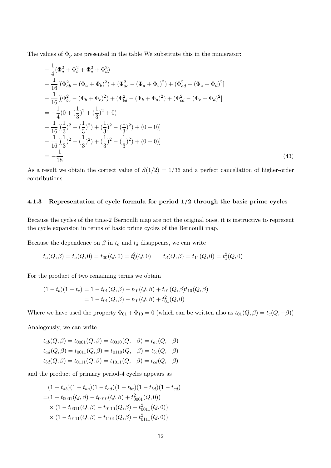The values of  $\Phi_p$  are presented in the table We substitute this in the numerator:

$$
-\frac{1}{4}(\Phi_a^2 + \Phi_b^2 + \Phi_c^2 + \Phi_d^2)
$$
  
\n
$$
-\frac{1}{16}[(\Phi_{ab}^2 - (\Phi_a + \Phi_b)^2) + (\Phi_{ac}^2 - (\Phi_a + \Phi_c)^2) + (\Phi_{ad}^2 - (\Phi_a + \Phi_d)^2]
$$
  
\n
$$
-\frac{1}{16}[(\Phi_{bc}^2 - (\Phi_b + \Phi_c)^2) + (\Phi_{bd}^2 - (\Phi_b + \Phi_d)^2) + (\Phi_{cd}^2 - (\Phi_c + \Phi_d)^2]
$$
  
\n
$$
= -\frac{1}{4}(0 + (\frac{1}{3})^2 + (\frac{1}{3})^2 + 0)
$$
  
\n
$$
-\frac{1}{16}[(\frac{1}{3})^2 - (\frac{1}{3})^2) + (\frac{1}{3})^2 - (\frac{1}{3})^2 + (0 - 0)]
$$
  
\n
$$
-\frac{1}{16}[(\frac{1}{3})^2 - (\frac{1}{3})^2) + (\frac{1}{3})^2 - (\frac{1}{3})^2 + (0 - 0)]
$$
  
\n
$$
= -\frac{1}{18}
$$
 (43)

As a result we obtain the correct value of  $S(1/2) = 1/36$  and a perfect cancellation of higher-order contributions.

### 4.1.3 Representation of cycle formula for period 1/2 through the basic prime cycles

Because the cycles of the time-2 Bernoulli map are not the original ones, it is instructive to represent the cycle expansion in terms of basic prime cycles of the Bernoulli map.

Because the dependence on  $\beta$  in  $t_a$  and  $t_d$  disappears, we can write

$$
t_a(Q,\beta) = t_a(Q,0) = t_{00}(Q,0) = t_0^2(Q,0)
$$
  $t_d(Q,\beta) = t_{11}(Q,0) = t_1^2(Q,0)$ 

For the product of two remaining terms we obtain

$$
(1 - t_b)(1 - t_c) = 1 - t_{01}(Q, \beta) - t_{10}(Q, \beta) + t_{01}(Q, \beta)t_{10}(Q, \beta)
$$
  
= 1 - t\_{01}(Q, \beta) - t\_{10}(Q, \beta) + t\_{01}^2(Q, 0)

Where we have used the property  $\Phi_{01} + \Phi_{10} = 0$  (which can be written also as  $t_{01}(Q, \beta) = t_c(Q, -\beta)$ )

Analogously, we can write

$$
t_{ab}(Q, \beta) = t_{0001}(Q, \beta) = t_{0010}(Q, -\beta) = t_{ac}(Q, -\beta)
$$
  
\n
$$
t_{ad}(Q, \beta) = t_{0011}(Q, \beta) = t_{0110}(Q, -\beta) = t_{bc}(Q, -\beta)
$$
  
\n
$$
t_{bd}(Q, \beta) = t_{0111}(Q, \beta) = t_{1011}(Q, -\beta) = t_{cd}(Q, -\beta)
$$

and the product of primary period-4 cycles appears as

$$
(1 - t_{ab})(1 - t_{ac})(1 - t_{ad})(1 - t_{bc})(1 - t_{bd})(1 - t_{cd})
$$
  
=  $(1 - t_{0001}(Q, \beta) - t_{0010}(Q, \beta) + t_{0001}^2(Q, 0))$   
 $\times (1 - t_{0011}(Q, \beta) - t_{0110}(Q, \beta) + t_{0011}^2(Q, 0))$   
 $\times (1 - t_{0111}(Q, \beta) - t_{1101}(Q, \beta) + t_{0111}^2(Q, 0))$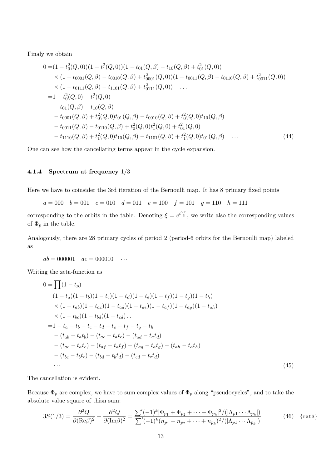Finaly we obtain

$$
0 = (1 - t_0^2(Q, 0))(1 - t_1^2(Q, 0))(1 - t_{01}(Q, \beta) - t_{10}(Q, \beta) + t_{01}^2(Q, 0))
$$
  
\n
$$
\times (1 - t_{0001}(Q, \beta) - t_{0010}(Q, \beta) + t_{0001}^2(Q, 0))(1 - t_{0011}(Q, \beta) - t_{0110}(Q, \beta) + t_{0011}^2(Q, 0))
$$
  
\n
$$
\times (1 - t_{0111}(Q, \beta) - t_{1101}(Q, \beta) + t_{0111}^2(Q, 0))
$$
  
\n
$$
= 1 - t_0^2(Q, 0) - t_1^2(Q, 0)
$$
  
\n
$$
- t_{01}(Q, \beta) - t_{10}(Q, \beta)
$$
  
\n
$$
- t_{0001}(Q, \beta) + t_0^2(Q, 0)t_{01}(Q, \beta) - t_{0010}(Q, \beta) + t_0^2(Q, 0)t_{10}(Q, \beta)
$$
  
\n
$$
- t_{0011}(Q, \beta) - t_{0110}(Q, \beta) + t_0^2(Q, 0)t_1^2(Q, 0) + t_{01}^2(Q, 0)
$$
  
\n
$$
- t_{1110}(Q, \beta) + t_1^2(Q, 0)t_{10}(Q, \beta) - t_{1101}(Q, \beta) + t_1^2(Q, 0)t_{01}(Q, \beta)
$$
 (44)

One can see how the cancellating terms appear in the cycle expansion.

#### 4.1.4 Spectrum at frequency 1/3

Here we have to coinsider the 3rd iteration of the Bernoulli map. It has 8 primary fixed points

 $a = 000$   $b = 001$   $c = 010$   $d = 011$   $e = 100$   $f = 101$   $g = 110$   $h = 111$ 

corresponding to the orbits in the table. Denoting  $\xi = e^{i\frac{2\pi}{3}}$ , we write also the corresponding values of  $\Phi_p$  in the table.

Analogously, there are 28 primary cycles of period 2 (period-6 orbits for the Bernoulli map) labeled as

 $ab = 000001$   $ac = 000010$   $\dots$ 

Writing the zeta-function as

$$
0 = \prod (1 - t_p)
$$
  
\n
$$
(1 - t_a)(1 - t_b)(1 - t_c)(1 - t_d)(1 - t_e)(1 - t_f)(1 - t_g)(1 - t_h)
$$
  
\n
$$
\times (1 - t_{ab})(1 - t_{ac})(1 - t_{ad})(1 - t_{ae})(1 - t_{af})(1 - t_{ag})(1 - t_{ah})
$$
  
\n
$$
\times (1 - t_{bc})(1 - t_{bd})(1 - t_{cd}) ...
$$
  
\n
$$
= 1 - t_a - t_b - t_c - t_d - t_e - t_f - t_g - t_h
$$
  
\n
$$
- (t_{ab} - t_{ab}) - (t_{ac} - t_{abc}) - (t_{ad} - t_{ad})
$$
  
\n
$$
- (t_{ac} - t_{abc}) - (t_{af} - t_{af}) - (t_{ag} - t_{af}) - (t_{ah} - t_{ah})
$$
  
\n
$$
- (t_{bc} - t_{b}t_c) - (t_{bd} - t_{bd}) - (t_{cd} - t_{cd})
$$
  
\n... (45)

The cancellation is evident.

Because  $\Phi_p$  are complex, we have to sum complex values of  $\Phi_p$  along "pseudocycles", and to take the absolute value square of thisn sum:

$$
3S(1/3) = \frac{\partial^2 Q}{\partial (\text{Re}\beta)^2} + \frac{\partial^2 Q}{\partial (\text{Im}\beta)^2} = \frac{\sum' (-1)^k |\Phi_{p_1} + \Phi_{p_2} + \dots + \Phi_{p_k}|^2 / (|\Lambda_{p_1} \dots \Lambda_{p_k}|)}{\sum' (-1)^k (n_{p_1} + n_{p_2} + \dots + n_{p_k})^2 / (|\Lambda_{p_1} \dots \Lambda_{p_k}|)}
$$
(46) {rat3}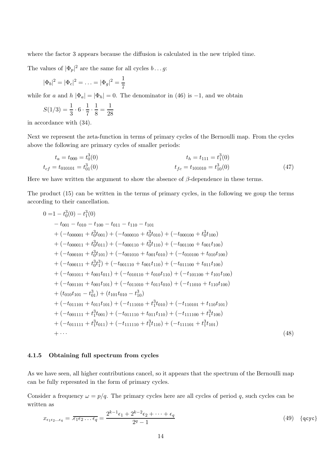where the factor 3 appears because the diffusion is calculated in the new tripled time.

The values of  $|\Phi_p|^2$  are the same for all cycles  $b \dots g$ :

$$
|\Phi_b|^2 = |\Phi_c|^2 = \ldots = |\Phi_g|^2 = \frac{1}{7}
$$

while for a and h  $|\Phi_a| = |\Phi_h| = 0$ . The denominator in (46) is -1, and we obtain

$$
S(1/3) = \frac{1}{3} \cdot 6 \cdot \frac{1}{7} \cdot \frac{1}{8} = \frac{1}{28}
$$

in accordance with (34).

Next we represent the zeta-function in terms of primary cycles of the Bernoulli map. From the cycles above the following are primary cycles of smaller periods:

$$
t_a = t_{000} = t_0^3(0)
$$
  
\n
$$
t_{cf} = t_{010101} = t_0^3(0)
$$
  
\n
$$
t_{cf} = t_{101010} = t_0^3(0)
$$
  
\n
$$
t_{fc} = t_{101010} = t_1^3(0)
$$
  
\n
$$
t_{fc} = t_{101010} = t_1^3(0)
$$
\n(47)

Here we have written the argument to show the absence of  $\beta$ -dependence in these terms.

The product (15) can be written in the terms of primary cycles, in the following we goup the terms according to their cancellation.

$$
0 = 1 - t_0^3(0) - t_1^3(0)
$$
  
\n
$$
-t_{001} - t_{010} - t_{100} - t_{011} - t_{110} - t_{101}
$$
  
\n
$$
+ (-t_{000001} + t_0^3 t_{001}) + (-t_{000100} + t_0^3 t_{010}) + (-t_{000100} + t_0^3 t_{100})
$$
  
\n
$$
+ (-t_{000011} + t_0^3 t_{011}) + (-t_{000110} + t_0^3 t_{110}) + (-t_{001100} + t_{001} t_{100})
$$
  
\n
$$
+ (-t_{000101} + t_0^3 t_{101}) + (-t_{001010} + t_{001} t_{010}) + (-t_{010100} + t_{010} t_{100})
$$
  
\n
$$
+ (-t_{000111} + t_0^3 t_1^3) + (-t_{001110} + t_{001} t_{110}) + (-t_{011100} + t_{011} t_{100})
$$
  
\n
$$
+ (-t_{001011} + t_{001} t_{011}) + (-t_{010110} + t_{010} t_{110}) + (-t_{110100} + t_{110} t_{100})
$$
  
\n
$$
+ (t_{010101} + t_{001} t_{101}) + (-t_{011010} + t_{011} t_{010}) + (-t_{11010} + t_{110} t_{100})
$$
  
\n
$$
+ (t_{0101101} + t_{011} t_{101}) + (-t_{111010} + t_1^3 t_{010}) + (-t_{110101} + t_{110} t_{101})
$$
  
\n
$$
+ (-t_{001111} + t_1^3 t_{001}) + (-t_{011110} + t_{011} t_{110}) + (-t_{111100} + t_1^3 t_{100})
$$
  
\n
$$
+ (-t_{011111}
$$

### 4.1.5 Obtaining full spectrum from cycles

As we have seen, all higher contributions cancel, so it appears that the spectrum of the Bernoulli map can be fully represnted in the form of primary cycles.

Consider a frequency  $\omega = p/q$ . The primary cycles here are all cycles of period q, such cycles can be written as

$$
x_{\epsilon_1 \epsilon_2 \ldots \epsilon_q} = \overline{. \epsilon_1 \epsilon_2 \ldots \epsilon_q} = \frac{2^{k-1} \epsilon_1 + 2^{k-2} \epsilon_2 + \cdots + \epsilon_q}{2^q - 1}
$$
(49) {qcyc}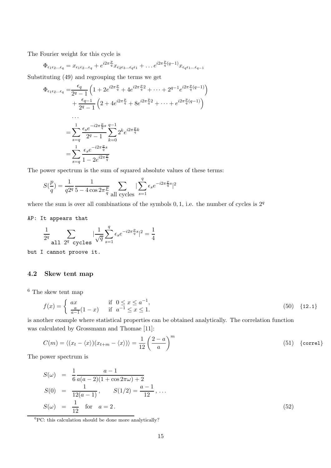The Fourier weight for this cycle is

$$
\Phi_{\epsilon_1 \epsilon_2 \ldots \epsilon_q} = x_{\epsilon_1 \epsilon_2 \ldots \epsilon_q} + e^{i2\pi \frac{p}{q}} x_{\epsilon_2 \epsilon_3 \ldots \epsilon_q \epsilon_1} + \ldots + e^{i2\pi \frac{p}{q}(q-1)} x_{\epsilon_q \epsilon_1 \ldots \epsilon_{q-1}}
$$

Substituting (49) and regrouping the terms we get

$$
\Phi_{\epsilon_1 \epsilon_2 \dots \epsilon_q} = \frac{\epsilon_q}{2^q - 1} \left( 1 + 2e^{i2\pi \frac{p}{q}} + 4e^{i2\pi \frac{p}{q}2} + \dots + 2^{q-1}e^{i2\pi \frac{p}{q}(q-1)} \right) \n+ \frac{\epsilon_{q-1}}{2^q - 1} \left( 2 + 4e^{i2\pi \frac{p}{q}} + 8e^{i2\pi \frac{p}{q}2} + \dots + e^{i2\pi \frac{p}{q}(q-1)} \right) \n... \n= \sum_{s=q} \frac{\epsilon_s e^{-i2\pi \frac{p}{q}s}}{2^q - 1} \sum_{k=0}^{q-1} 2^k e^{i2\pi \frac{p}{q}k} \n= \sum_{s=q} \frac{\epsilon_s e^{-i2\pi \frac{p}{q}s}}{1 - 2e^{i2\pi \frac{p}{q}}}.
$$

The power spectrum is the sum of squared absolute values of these terms:

$$
S(\frac{p}{q})=\frac{1}{q2^q}\frac{1}{5-4\cos2\pi\frac{p}{q}}\sum_{\text{all cycles}}|\sum_{s=1}^q\epsilon_s e^{-i2\pi\frac{p}{q}s}|^2
$$

where the sum is over all combinations of the symbols  $0, 1$ , i.e. the number of cycles is  $2<sup>q</sup>$ 

#### AP: It appears that

$$
\frac{1}{2^{q}} \sum_{\text{all } 2^{q} \text{ cycles}} |\frac{1}{\sqrt{q}} \sum_{s=1}^{q} \epsilon_{s} e^{-i2\pi \frac{p}{q}s}|^{2} = \frac{1}{4}
$$

but I cannot proove it.

## 4.2 Skew tent map

 $6$  The skew tent map

$$
f(x) = \begin{cases} ax & \text{if } 0 \le x \le a^{-1}, \\ \frac{a}{a-1}(1-x) & \text{if } a^{-1} \le x \le 1. \end{cases}
$$
 (50) {12.1}

is another example where statistical properties can be obtained analytically. The correlation function was calculated by Grossmann and Thomae [11]:

$$
C(m) = \langle (x_t - \langle x \rangle)(x_{t+m} - \langle x \rangle) \rangle = \frac{1}{12} \left(\frac{2-a}{a}\right)^m
$$
 (51) {correl}

The power spectrum is

$$
S(\omega) = \frac{1}{6} \frac{a - 1}{a(a - 2)(1 + \cos 2\pi \omega) + 2}
$$
  
\n
$$
S(0) = \frac{1}{12(a - 1)}, \qquad S(1/2) = \frac{a - 1}{12}, \dots
$$
  
\n
$$
S(\omega) = \frac{1}{12} \text{ for } a = 2.
$$
\n(52)

 ${}^{6}PC$ : this calculation should be done more analytically?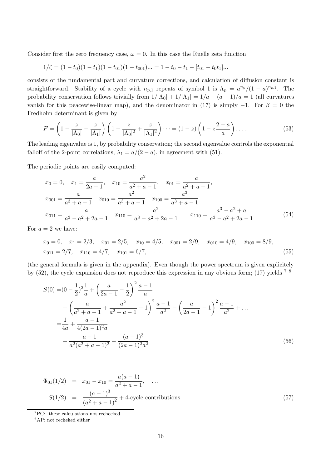Consider first the zero frequency case,  $\omega = 0$ . In this case the Ruelle zeta function

$$
1/\zeta = (1-t_0)(1-t_1)(1-t_{01})(1-t_{001})\dots = 1-t_0-t_1-[t_{01}-t_0t_1] \dots
$$

consists of the fundamental part and curvature corrections, and calculation of diffusion constant is straightforward. Stability of a cycle with  $n_{p,1}$  repeats of symbol 1 is  $\Lambda_p = a^{n_p}/(1-a)^{n_{p,1}}$ . The probability conservation follows trivially from  $1/|\Lambda_0| + 1/|\Lambda_1| = 1/a + (a-1)/a = 1$  (all curvatures vanish for this peacewise-linear map), and the denominator in (17) is simply  $-1$ . For  $\beta = 0$  the Fredholm determinant is given by

$$
F = \left(1 - \frac{z}{|\Lambda_0|} - \frac{z}{|\Lambda_1|}\right) \left(1 - \frac{z}{|\Lambda_0|^2} + \frac{z}{|\Lambda_1|^2}\right) \dots = (1 - z) \left(1 - z \frac{2 - a}{a}\right) \dots \tag{53}
$$

The leading eigenvalue is 1, by probability conservation; the second eigenvalue controls the exponential falloff of the 2-point correlations,  $\lambda_1 = a/(2 - a)$ , in agreement with (51).

The periodic points are easily computed:

$$
x_0 = 0, \quad x_1 = \frac{a}{2a - 1}, \quad x_{10} = \frac{a^2}{a^2 + a - 1}, \quad x_{01} = \frac{a}{a^2 + a - 1},
$$

$$
x_{001} = \frac{a}{a^3 + a - 1} \quad x_{010} = \frac{a^2}{a^3 + a - 1} \quad x_{100} = \frac{a^3}{a^3 + a - 1}
$$

$$
x_{011} = \frac{a}{a^3 - a^2 + 2a - 1} \quad x_{110} = \frac{a^2}{a^3 - a^2 + 2a - 1} \quad x_{110} = \frac{a^3 - a^2 + a}{a^3 - a^2 + 2a - 1} \tag{54}
$$

For  $a = 2$  we have:

$$
x_0 = 0
$$
,  $x_1 = 2/3$ ,  $x_{01} = 2/5$ ,  $x_{10} = 4/5$ ,  $x_{001} = 2/9$ ,  $x_{010} = 4/9$ ,  $x_{100} = 8/9$ ,  
\n $x_{011} = 2/7$ ,  $x_{110} = 4/7$ ,  $x_{101} = 6/7$ , ... (55)

(the general formula is given in the appendix). Even though the power spectrum is given explicitely by (52), the cycle expansion does not reproduce this expression in any obvious form; (17) yields 7 8

$$
S(0) = (0 - \frac{1}{2})^2 \frac{1}{a} + \left(\frac{a}{2a - 1} - \frac{1}{2}\right)^2 \frac{a - 1}{a}
$$
  
+ 
$$
\left(\frac{a}{a^2 + a - 1} + \frac{a^2}{a^2 + a - 1} - 1\right)^2 \frac{a - 1}{a^2} - \left(\frac{a}{2a - 1} - 1\right)^2 \frac{a - 1}{a^2} + \dots
$$
  
= 
$$
\frac{1}{4a} + \frac{a - 1}{4(2a - 1)^2 a}
$$
  
+ 
$$
\frac{a - 1}{a^2(a^2 + a - 1)^2} - \frac{(a - 1)^3}{(2a - 1)^2 a^2}
$$
 (56)

$$
\Phi_{01}(1/2) = x_{01} - x_{10} = \frac{a(a-1)}{a^2 + a - 1}, \dots
$$
\n
$$
S(1/2) = \frac{(a-1)^3}{(a^2 + a - 1)^2} + 4
$$
\ncycle contributions\n(57)

 ${}^{7}PC:$  these calculations not rechecked.

<sup>8</sup>AP: not recheked either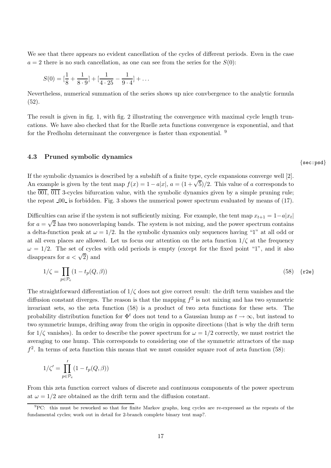We see that there appears no evident cancellation of the cycles of different periods. Even in the case  $a = 2$  there is no such cancellation, as one can see from the series for the  $S(0)$ :

$$
S(0) = \left[\frac{1}{8} + \frac{1}{8 \cdot 9}\right] + \left[\frac{1}{4 \cdot 25} - \frac{1}{9 \cdot 4}\right] + \dots
$$

Nevertheless, numerical summation of the series shows up nice convbergence to the analytic formula (52).

The result is given in fig. 1, with fig. 2 illustrating the convergence with maximal cycle length truncations. We have also checked that for the Ruelle zeta functions convergence is exponential, and that for the Fredholm determinant the convergence is faster than exponential. <sup>9</sup>

#### 4.3 Pruned symbolic dynamics

If the symbolic dynamics is described by a subshift of a finite type, cycle expansions converge well [2]. An example is given by the tent map  $f(x) = 1 - a|x|$ ,  $a = (1 + \sqrt{5})/2$ . This value of a corresponds to the  $\overline{001}$ ,  $\overline{011}$  3-cycles bifurcation value, with the symbolic dynamics given by a simple pruning rule; the repeat  $0.0$  is forbidden. Fig. 3 shows the numerical power spectrum evaluated by means of  $(17)$ .

Difficulties can arise if the system is not sufficiently mixing. For example, the tent map  $x_{t+1} = 1 - a|x_t|$ for  $a = \sqrt{2}$  has two nonoverlaping bands. The system is not mixing, and the power spectrum contains a delta-function peak at  $\omega = 1/2$ . In the symbolic dynamics only sequences having "1" at all odd or at all even places are allowed. Let us focus our attention on the zeta function  $1/\zeta$  at the frequency  $\omega = 1/2$ . The set of cycles with odd periods is empty (except for the fixed point "1", and it also disappears for  $a < \sqrt{2}$  and

$$
1/\zeta = \prod_{p \in \mathcal{P}_e} (1 - t_p(Q, \beta)) \tag{58} \tag{58} \tag{58}
$$

The straightforward differentiation of  $1/\zeta$  does not give correct result: the drift term vanishes and the diffusion constant diverges. The reason is that the mapping  $f^2$  is not mixing and has two symmetric invariant sets, so the zeta function (58) is a product of two zeta functions for these sets. The probability distribution function for  $\Phi^t$  does not tend to a Gaussian hump as  $t \to \infty$ , but instead to two symmetric humps, drifting away from the origin in opposite directions (that is why the drift term for  $1/\zeta$  vanishes). In order to describe the power spectrum for  $\omega = 1/2$  correctly, we must restrict the averaging to one hump. This corresponds to considering one of the symmetric attractors of the map  $f<sup>2</sup>$ . In terms of zeta function this means that we must consider square root of zeta function (58):

$$
1/\zeta' = \prod_{p \in \mathcal{P}_e}' (1 - t_p(Q, \beta))
$$

From this zeta function correct values of discrete and continuous components of the power spectrum at  $\omega = 1/2$  are obtained as the drift term and the diffusion constant.

{sec:psd}

<sup>&</sup>lt;sup>9</sup>PC: this must be reworked so that for finite Markov graphs, long cycles are re-expressed as the repeats of the fundamental cycles; work out in detail for 2-branch complete binary tent map?.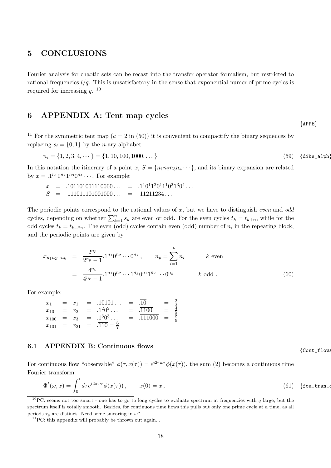## 5 CONCLUSIONS

Fourier analysis for chaotic sets can be recast into the transfer operator formalism, but restricted to rational frequencies  $l/q$ . This is unsatisfactory in the sense that exponential numer of prime cycles is required for increasing  $q$ . <sup>10</sup>

# 6 APPENDIX A: Tent map cycles

<sup>11</sup> For the symmetric tent map  $(a = 2 \text{ in } (50))$  it is convenient to compactify the binary sequences by replacing  $s_i = \{0, 1\}$  by the *n*-ary alphabet

$$
n_i = \{1, 2, 3, 4, \cdots\} = \{1, 10, 100, 1000, \dots\}
$$
\n(59) {dike\_a1ph}

In this notation the itinerary of a point x,  $S = \{n_1n_2n_3n_4\cdots\}$ , and its binary expansion are related by  $x = .1^{n_1} 0^{n_2} 1^{n_3} 0^{n_4} \cdots$ . For example:

$$
x = .101101001110000... = .1101120111021304... \nS = 111011101001000... = 11211234...
$$

The periodic points correspond to the rational values of x, but we have to distinguish *even* and *odd* cycles, depending on whether  $\sum_{k=1}^{n} s_k$  are even or odd. For the even cycles  $t_k = t_{k+n}$ , while for the odd cycles  $t_k = t_{k+2n}$ . The even (odd) cycles contain even (odd) number of  $n_i$  in the repeating block, and the periodic points are given by

$$
x_{n_1 n_2 \cdots n_k} = \frac{2^{n_p}}{2^{n_p} - 1} \cdot 1^{n_1} 0^{n_2} \cdots 0^{n_k}, \qquad n_p = \sum_{i=1}^k n_i \qquad k \text{ even}
$$
  

$$
= \frac{4^{n_p}}{4^{n_p} - 1} \cdot 1^{n_1} 0^{n_2} \cdots 1^{n_k} 0^{n_1} 1^{n_2} \cdots 0^{n_k} \qquad k \text{ odd}.
$$
 (60)

For example:

$$
\begin{array}{rcl}\nx_1 & = & x_1 & = .10101... & = .\overline{10} & = \frac{2}{3} \\
x_{10} & = & x_2 & = .1^20^2... & = .\overline{1100} & = \frac{4}{5} \\
x_{100} & = & x_3 & = .1^30^3... & = .\overline{111000} & = \frac{8}{9} \\
x_{101} & = & x_{21} & = .\overline{110} = \frac{6}{7}\n\end{array}
$$

## 6.1 APPENDIX B: Continuous flows

For continuous flow "observable"  $\phi(\tau, x(\tau)) = e^{i2\pi\omega\tau} \phi(x(\tau))$ , the sum (2) becomes a continuous time Fourier transform

$$
\Phi^t(\omega, x) = \int_0^t d\tau e^{i2\pi\omega\tau} \phi(x(\tau)), \qquad x(0) = x, \tag{61} \text{ [four-tran-c]}
$$

{Cont\_flows

{APPE}

<sup>&</sup>lt;sup>10</sup>PC: seems not too smart - one has to go to long cycles to evaluate spectrum at frequencies with  $q$  large, but the spectrum itself is totally smooth. Besides, for continuous time flows this pulls out only one prime cycle at a time, as all periods  $\tau_p$  are distinct. Need some smearing in  $\omega$ ?

 ${}^{11}$ PC: this appendix will probably be thrown out again...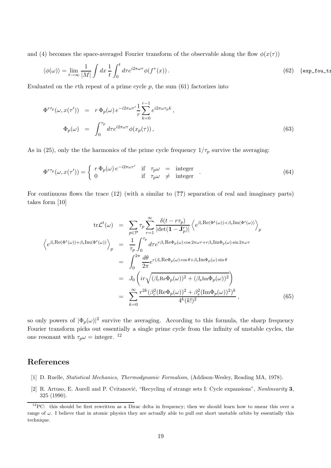and (4) becomes the space-averaged Fourier transform of the observable along the flow  $\phi(x(\tau))$ 

$$
\langle \phi(\omega) \rangle = \lim_{t \to \infty} \frac{1}{|M|} \int dx \, \frac{1}{t} \int_0^t d\tau e^{i2\pi\omega\tau} \phi(f^\tau(x)) \,. \tag{62}
$$

Evaluated on the rth repeat of a prime cycle  $p$ , the sum  $(61)$  factorizes into

$$
\Phi^{r\tau_p}(\omega, x(\tau')) = r \Phi_p(\omega) e^{-i2\pi\omega\tau'} \frac{1}{r} \sum_{k=0}^{r-1} e^{i2\pi\omega\tau_p k},
$$
  

$$
\Phi_p(\omega) = \int_0^{\tau_p} d\tau e^{i2\pi\omega\tau} \phi(x_p(\tau)),
$$
\n(63)

As in (25), only the the harmonics of the prime cycle frequency  $1/\tau_p$  survive the averaging:

$$
\Phi^{r\tau_p}(\omega, x(\tau')) = \begin{cases} r \Phi_p(\omega) e^{-i2\pi\omega\tau'} & \text{if } \tau_p \omega = \text{integer} \\ 0 & \text{if } \tau_p \omega \neq \text{integer} \end{cases} (64)
$$

For continuous flows the trace  $(12)$  (with a similar to  $(?)$ ) separation of real and imaginary parts) takes form [10]

$$
\text{tr}\mathcal{L}^{t}(\omega) = \sum_{p \in \mathcal{P}} \tau_{p} \sum_{r=1}^{\infty} \frac{\delta(t - r\tau_{p})}{|\det(\mathbf{1} - \mathbf{J}_{p}^{r})|} \left\langle e^{\beta_{c} \text{Re}(\Phi^{t}(\omega)) + \beta_{s} \text{Im}(\Phi^{t}(\omega))} \right\rangle_{p}
$$
  

$$
\left\langle e^{\beta_{c} \text{Re}(\Phi^{t}(\omega)) + \beta_{s} \text{Im}(\Phi^{t}(\omega))} \right\rangle_{p} = \frac{1}{\tau_{p}} \int_{0}^{\tau_{p}} d\tau e^{r\beta_{c} \text{Re}\Phi_{p}(\omega) \cos 2\pi \omega \tau + r\beta_{s} \text{Im}\Phi_{p}(\omega) \sin 2\pi \omega \tau}
$$
  

$$
= \int_{0}^{2\pi} \frac{d\theta}{2\pi} e^{r(\beta_{c} \text{Re}\Phi_{p}(\omega) \cos \theta + \beta_{s} \text{Im}\Phi_{p}(\omega) \sin \theta}
$$
  

$$
= J_{0} \left( i r \sqrt{(\beta_{c} \text{Re}\Phi_{p}(\omega))^{2} + (\beta_{s} \text{Im}\Phi_{p}(\omega))^{2}} \right)
$$
  

$$
= \sum_{k=0}^{\infty} \frac{r^{2k} (\beta_{c}^{2} (\text{Re}\Phi_{p}(\omega))^{2} + \beta_{s}^{2} (\text{Im}\Phi_{p}(\omega))^{2})^{k}}{4^{k} (k!)^{2}}, \qquad (65)
$$

so only powers of  $|\Phi_p(\omega)|^2$  survive the averaging. According to this formula, the sharp frequency Fourier transform picks out essentially a single prime cycle from the infinity of unstable cycles, the one resonant with  $\tau_p \omega = \text{integer.}$ <sup>12</sup>

## References

- [1] D. Ruelle, Statistical Mechanics, Thermodynamic Formalism, (Addison-Wesley, Reading MA, 1978).
- [2] R. Artuso, E. Aurell and P. Cvitanović, "Recycling of strange sets I: Cycle expansions", Nonlinearity 3, 325 (1990).

 $12$ PC: this should be first rewritten as a Dirac delta in frequency; then we should learn how to smear this over a range of  $\omega$ . I believe that in atomic physics they are actually able to pull out short unstable orbits by essentially this technique.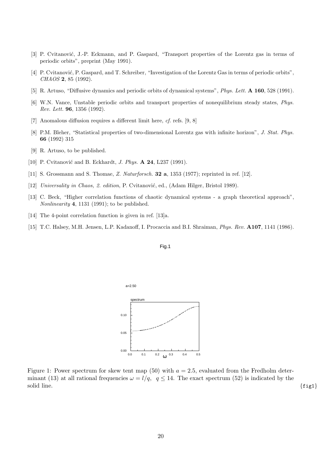- [3] P. Cvitanović, J.-P. Eckmann, and P. Gaspard, "Transport properties of the Lorentz gas in terms of periodic orbits", preprint (May 1991).
- [4] P. Cvitanović, P. Gaspard, and T. Schreiber, "Investigation of the Lorentz Gas in terms of periodic orbits", CHAOS 2, 85 (1992).
- [5] R. Artuso, "Diffusive dynamics and periodic orbits of dynamical systems", Phys. Lett. A 160, 528 (1991).
- [6] W.N. Vance, Unstable periodic orbits and transport properties of nonequilibrium steady states, Phys. Rev. Lett. 96, 1356 (1992).
- [7] Anomalous diffusion requires a different limit here, cf. refs. [9, 8]
- [8] P.M. Bleher, "Statistical properties of two-dimensional Lorentz gas with infinite horizon", J. Stat. Phys. 66 (1992) 315
- [9] R. Artuso, to be published.
- [10] P. Cvitanović and B. Eckhardt, *J. Phys.* **A 24**, L237 (1991).
- [11] S. Grossmann and S. Thomae, Z. Naturforsch. 32 a, 1353 (1977); reprinted in ref. [12].
- [12] Universality in Chaos, 2. edition, P. Cvitanović, ed., (Adam Hilger, Bristol 1989).
- [13] C. Beck, "Higher correlation functions of chaotic dynamical systems a graph theoretical approach", Nonlinearity 4, 1131 (1991); to be published.
- [14] The 4-point correlation function is given in ref. [13]a.
- [15] T.C. Halsey, M.H. Jensen, L.P. Kadanoff, I. Procaccia and B.I. Shraiman, Phys. Rev. A107, 1141 (1986).





Figure 1: Power spectrum for skew tent map (50) with  $a = 2.5$ , evaluated from the Fredholm determinant (13) at all rational frequencies  $\omega = l/q$ ,  $q \le 14$ . The exact spectrum (52) is indicated by the solid line. solid line.  $\{fig1}\}$